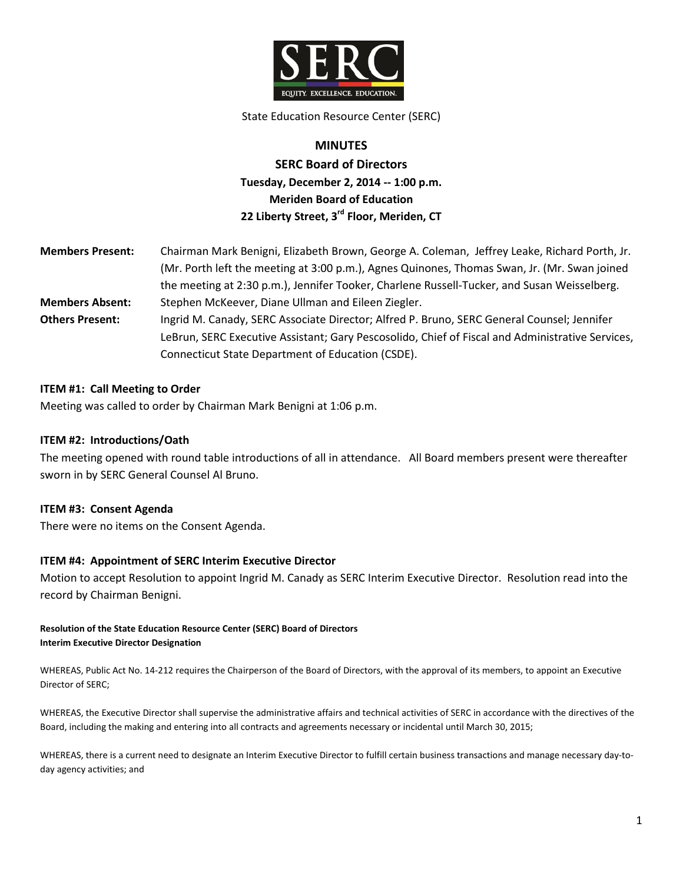

#### State Education Resource Center (SERC)

# **MINUTES SERC Board of Directors Tuesday, December 2, 2014 -- 1:00 p.m. Meriden Board of Education 22 Liberty Street, 3rd Floor, Meriden, CT**

| <b>Members Present:</b> | Chairman Mark Benigni, Elizabeth Brown, George A. Coleman, Jeffrey Leake, Richard Porth, Jr.     |
|-------------------------|--------------------------------------------------------------------------------------------------|
|                         | (Mr. Porth left the meeting at 3:00 p.m.), Agnes Quinones, Thomas Swan, Jr. (Mr. Swan joined     |
|                         | the meeting at 2:30 p.m.), Jennifer Tooker, Charlene Russell-Tucker, and Susan Weisselberg.      |
| <b>Members Absent:</b>  | Stephen McKeever, Diane Ullman and Eileen Ziegler.                                               |
| <b>Others Present:</b>  | Ingrid M. Canady, SERC Associate Director; Alfred P. Bruno, SERC General Counsel; Jennifer       |
|                         | LeBrun, SERC Executive Assistant; Gary Pescosolido, Chief of Fiscal and Administrative Services, |
|                         | Connecticut State Department of Education (CSDE).                                                |

### **ITEM #1: Call Meeting to Order**

Meeting was called to order by Chairman Mark Benigni at 1:06 p.m.

#### **ITEM #2: Introductions/Oath**

The meeting opened with round table introductions of all in attendance. All Board members present were thereafter sworn in by SERC General Counsel Al Bruno.

#### **ITEM #3: Consent Agenda**

There were no items on the Consent Agenda.

#### **ITEM #4: Appointment of SERC Interim Executive Director**

Motion to accept Resolution to appoint Ingrid M. Canady as SERC Interim Executive Director. Resolution read into the record by Chairman Benigni.

#### **Resolution of the State Education Resource Center (SERC) Board of Directors Interim Executive Director Designation**

WHEREAS, Public Act No. 14-212 requires the Chairperson of the Board of Directors, with the approval of its members, to appoint an Executive Director of SERC;

WHEREAS, the Executive Director shall supervise the administrative affairs and technical activities of SERC in accordance with the directives of the Board, including the making and entering into all contracts and agreements necessary or incidental until March 30, 2015;

WHEREAS, there is a current need to designate an Interim Executive Director to fulfill certain business transactions and manage necessary day-today agency activities; and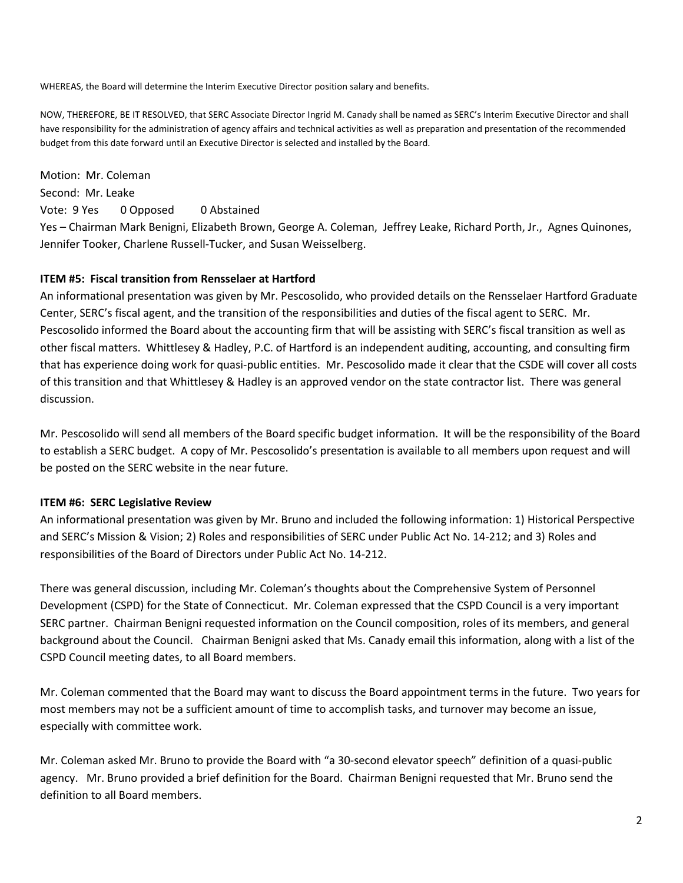WHEREAS, the Board will determine the Interim Executive Director position salary and benefits.

NOW, THEREFORE, BE IT RESOLVED, that SERC Associate Director Ingrid M. Canady shall be named as SERC's Interim Executive Director and shall have responsibility for the administration of agency affairs and technical activities as well as preparation and presentation of the recommended budget from this date forward until an Executive Director is selected and installed by the Board.

Motion: Mr. Coleman Second: Mr. Leake Vote: 9 Yes 0 Opposed 0 Abstained Yes – Chairman Mark Benigni, Elizabeth Brown, George A. Coleman, Jeffrey Leake, Richard Porth, Jr., Agnes Quinones, Jennifer Tooker, Charlene Russell-Tucker, and Susan Weisselberg.

### **ITEM #5: Fiscal transition from Rensselaer at Hartford**

An informational presentation was given by Mr. Pescosolido, who provided details on the Rensselaer Hartford Graduate Center, SERC's fiscal agent, and the transition of the responsibilities and duties of the fiscal agent to SERC. Mr. Pescosolido informed the Board about the accounting firm that will be assisting with SERC's fiscal transition as well as other fiscal matters. Whittlesey & Hadley, P.C. of Hartford is an independent auditing, accounting, and consulting firm that has experience doing work for quasi-public entities. Mr. Pescosolido made it clear that the CSDE will cover all costs of this transition and that Whittlesey & Hadley is an approved vendor on the state contractor list. There was general discussion.

Mr. Pescosolido will send all members of the Board specific budget information. It will be the responsibility of the Board to establish a SERC budget. A copy of Mr. Pescosolido's presentation is available to all members upon request and will be posted on the SERC website in the near future.

## **ITEM #6: SERC Legislative Review**

An informational presentation was given by Mr. Bruno and included the following information: 1) Historical Perspective and SERC's Mission & Vision; 2) Roles and responsibilities of SERC under Public Act No. 14-212; and 3) Roles and responsibilities of the Board of Directors under Public Act No. 14-212.

There was general discussion, including Mr. Coleman's thoughts about the Comprehensive System of Personnel Development (CSPD) for the State of Connecticut. Mr. Coleman expressed that the CSPD Council is a very important SERC partner. Chairman Benigni requested information on the Council composition, roles of its members, and general background about the Council. Chairman Benigni asked that Ms. Canady email this information, along with a list of the CSPD Council meeting dates, to all Board members.

Mr. Coleman commented that the Board may want to discuss the Board appointment terms in the future. Two years for most members may not be a sufficient amount of time to accomplish tasks, and turnover may become an issue, especially with committee work.

Mr. Coleman asked Mr. Bruno to provide the Board with "a 30-second elevator speech" definition of a quasi-public agency. Mr. Bruno provided a brief definition for the Board. Chairman Benigni requested that Mr. Bruno send the definition to all Board members.